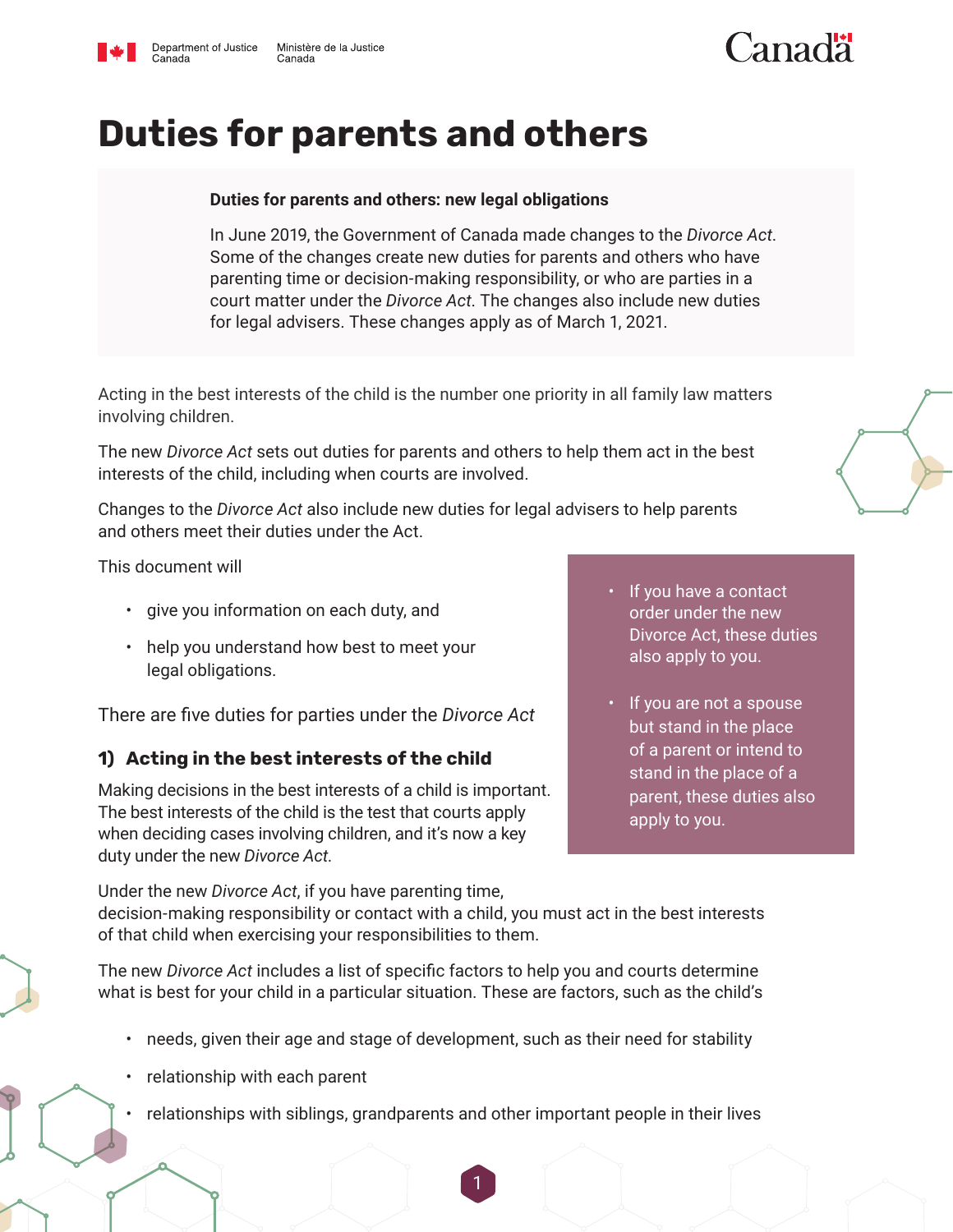

Canada

# **Duties for parents and others**

#### **Duties for parents and others: new legal obligations**

In June 2019, the Government of Canada made changes to the *Divorce Act*. Some of the changes create new duties for parents and others who have parenting time or decision-making responsibility, or who are parties in a court matter under the *Divorce Act*. The changes also include new duties for legal advisers. These changes apply as of March 1, 2021.

Acting in the best interests of the child is the number one priority in all family law matters involving children.

The new *Divorce Act* sets out duties for parents and others to help them act in the best interests of the child, including when courts are involved.

Changes to the *Divorce Act* also include new duties for legal advisers to help parents and others meet their duties under the Act.

This document will

- give you information on each duty, and
- help you understand how best to meet your legal obligations.

There are five duties for parties under the *Divorce Act*

#### **1) Acting in the best interests of the child**

Making decisions in the best interests of a child is important. The best interests of the child is the test that courts apply when deciding cases involving children, and it's now a key duty under the new *Divorce Act*.

- If you have a contact order under the new Divorce Act, these duties also apply to you.
- If you are not a spouse but stand in the place of a parent or intend to stand in the place of a parent, these duties also apply to you.

Under the new *Divorce Act*, if you have parenting time, decision-making responsibility or contact with a child, you must act in the best interests of that child when exercising your responsibilities to them.

The new *Divorce Act* includes a list of specific factors to help you and courts determine what is best for your child in a particular situation. These are factors, such as the child's

- needs, given their age and stage of development, such as their need for stability
- relationship with each parent
- relationships with siblings, grandparents and other important people in their lives



 $\Gamma$ anadä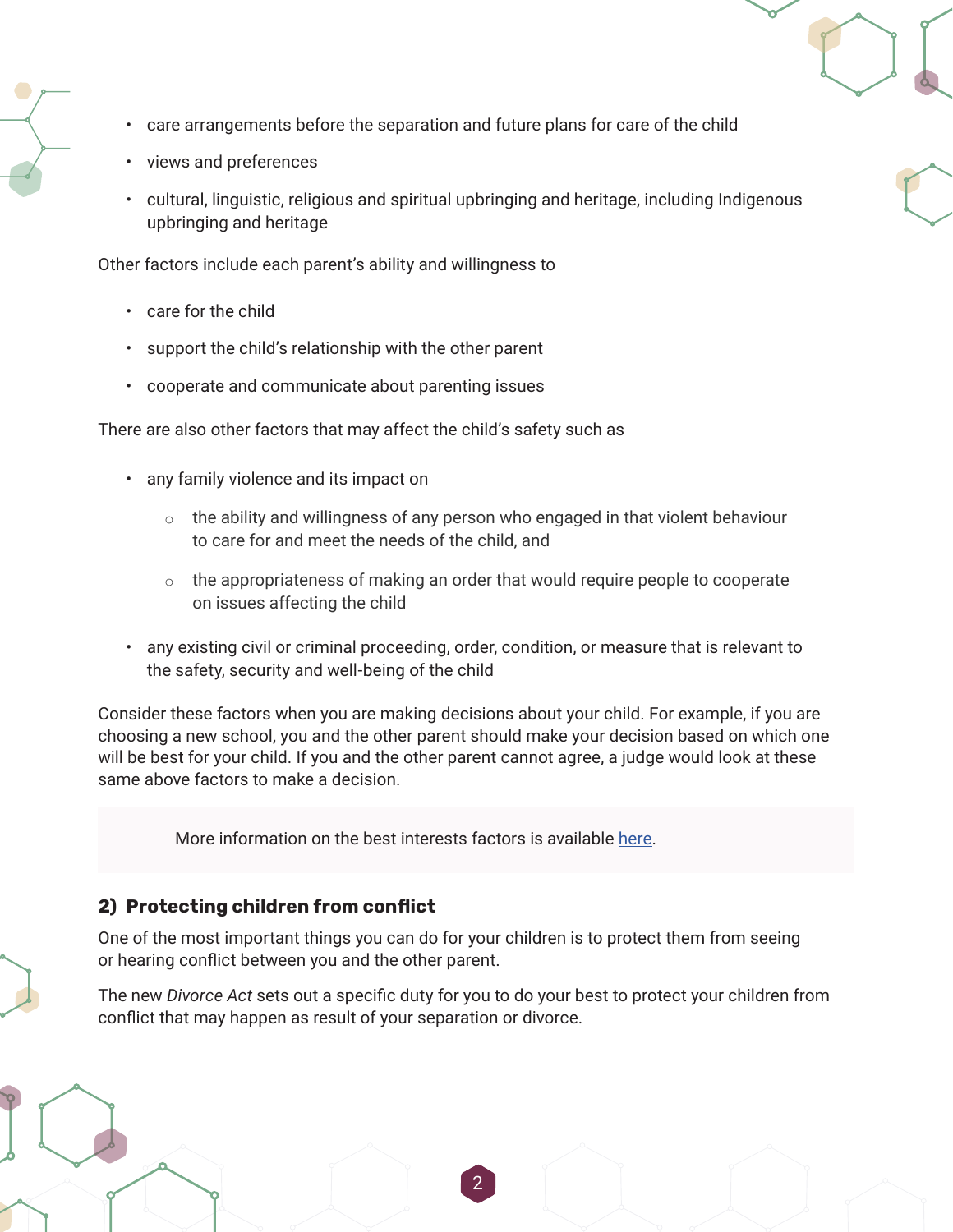- care arrangements before the separation and future plans for care of the child
- views and preferences
- cultural, linguistic, religious and spiritual upbringing and heritage, including Indigenous upbringing and heritage

Other factors include each parent's ability and willingness to

- care for the child
- support the child's relationship with the other parent
- cooperate and communicate about parenting issues

There are also other factors that may affect the child's safety such as

- any family violence and its impact on
	- $\circ$  the ability and willingness of any person who engaged in that violent behaviour to care for and meet the needs of the child, and
	- $\circ$  the appropriateness of making an order that would require people to cooperate on issues affecting the child
- any existing civil or criminal proceeding, order, condition, or measure that is relevant to the safety, security and well-being of the child

Consider these factors when you are making decisions about your child. For example, if you are choosing a new school, you and the other parent should make your decision based on which one will be best for your child. If you and the other parent cannot agree, a judge would look at these same above factors to make a decision.

More information on the best interests factors is available [here.](https://www.justice.gc.ca/eng/fl-df/after-apres.html )

## **2) Protecting children from conflict**

One of the most important things you can do for your children is to protect them from seeing or hearing conflict between you and the other parent.

The new *Divorce Act* sets out a specific duty for you to do your best to protect your children from conflict that may happen as result of your separation or divorce.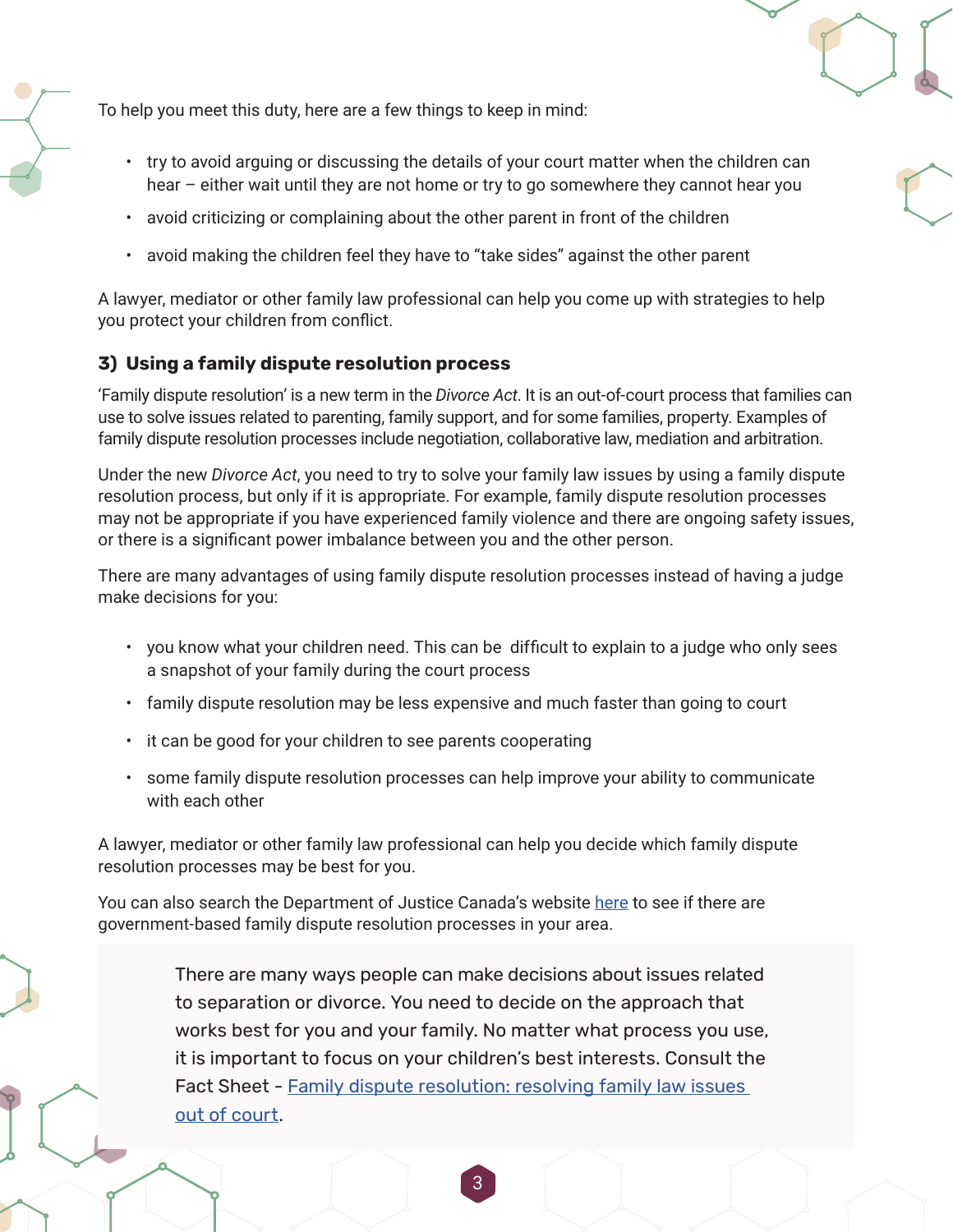To help you meet this duty, here are a few things to keep in mind:

- try to avoid arguing or discussing the details of your court matter when the children can hear – either wait until they are not home or try to go somewhere they cannot hear you
- avoid criticizing or complaining about the other parent in front of the children
- avoid making the children feel they have to "take sides" against the other parent

A lawyer, mediator or other family law professional can help you come up with strategies to help you protect your children from conflict.

## **3) Using a family dispute resolution process**

'Family dispute resolution' is a new term in the *Divorce Act*. It is an out-of-court process that families can use to solve issues related to parenting, family support, and for some families, property. Examples of family dispute resolution processes include negotiation, collaborative law, mediation and arbitration.

Under the new *Divorce Act*, you need to try to solve your family law issues by using a family dispute resolution process, but only if it is appropriate. For example, family dispute resolution processes may not be appropriate if you have experienced family violence and there are ongoing safety issues, or there is a significant power imbalance between you and the other person.

There are many advantages of using family dispute resolution processes instead of having a judge make decisions for you:

- you know what your children need. This can be difficult to explain to a judge who only sees a snapshot of your family during the court process
- family dispute resolution may be less expensive and much faster than going to court
- it can be good for your children to see parents cooperating
- some family dispute resolution processes can help improve your ability to communicate with each other

A lawyer, mediator or other family law professional can help you decide which family dispute resolution processes may be best for you.

You can also search the Department of Justice Canada's website [here](https://www.justice.gc.ca/eng/fl-df/fjs-sjf/brows-fure.aspx) to see if there are government-based family dispute resolution processes in your area.

> There are many ways people can make decisions about issues related to separation or divorce. You need to decide on the approach that works best for you and your family. No matter what process you use, it is important to focus on your children's best interests. Consult the Fact Sheet - Family dispute resolution: resolving family law issues [out of court](https://www.justice.gc.ca/eng/fl-df/fsfdr-firdf.html).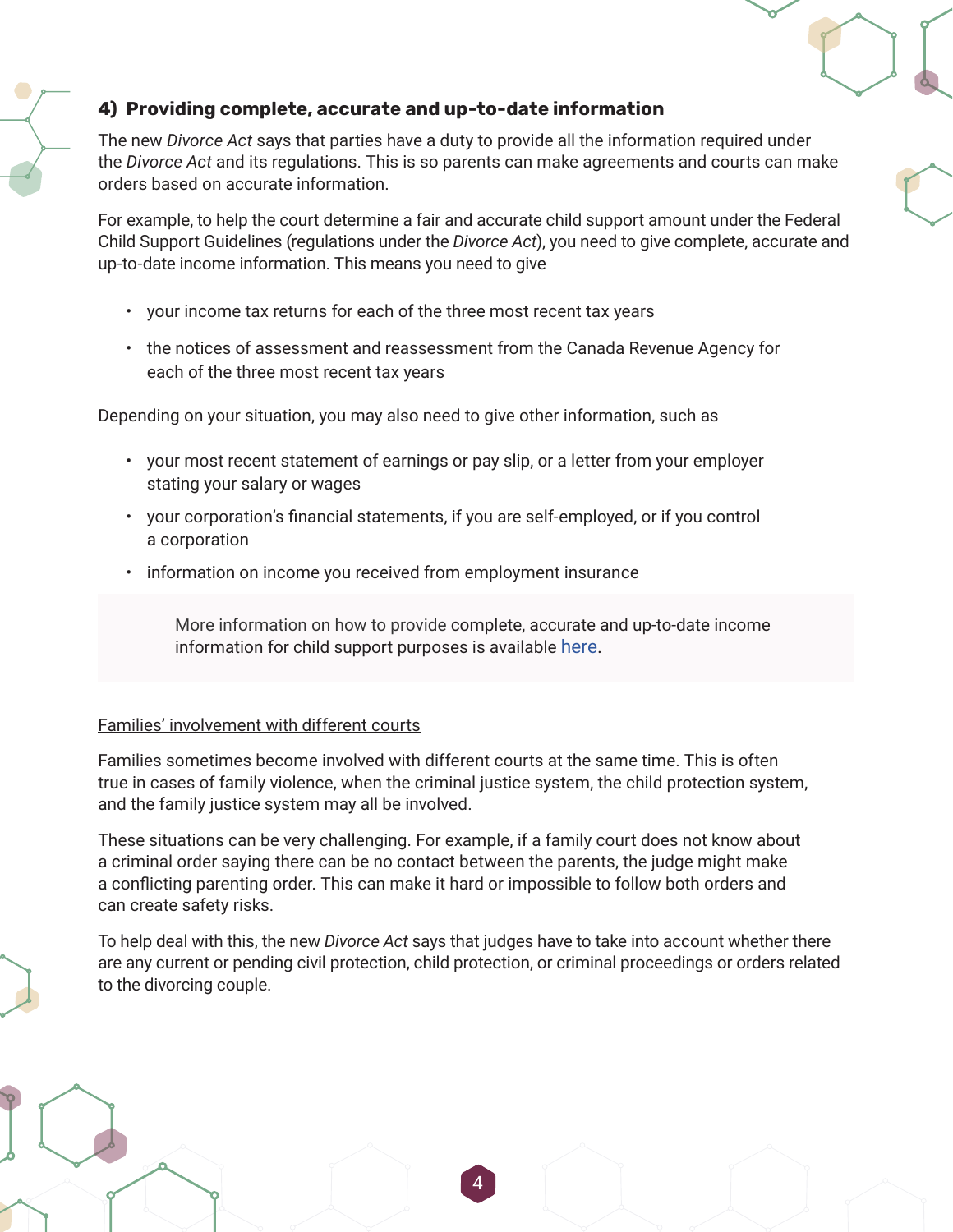# **4) Providing complete, accurate and up-to-date information**

The new *Divorce Act* says that parties have a duty to provide all the information required under the *Divorce Act* and its regulations. This is so parents can make agreements and courts can make orders based on accurate information.

For example, to help the court determine a fair and accurate child support amount under the Federal Child Support Guidelines (regulations under the *Divorce Act*), you need to give complete, accurate and up-to-date income information. This means you need to give

- your income tax returns for each of the three most recent tax years
- the notices of assessment and reassessment from the Canada Revenue Agency for each of the three most recent tax years

Depending on your situation, you may also need to give other information, such as

- your most recent statement of earnings or pay slip, or a letter from your employer stating your salary or wages
- your corporation's financial statements, if you are self-employed, or if you control a corporation
- information on income you received from employment insurance

More information on how to provide complete, accurate and up-to-date income information for child support purposes is available [here.](https://www.justice.gc.ca/eng/rp-pr/fl-lf/child-enfant/guide/index.html)

#### Families' involvement with different courts

Families sometimes become involved with different courts at the same time. This is often true in cases of family violence, when the criminal justice system, the child protection system, and the family justice system may all be involved.

These situations can be very challenging. For example, if a family court does not know about a criminal order saying there can be no contact between the parents, the judge might make a conflicting parenting order. This can make it hard or impossible to follow both orders and can create safety risks.

To help deal with this, the new *Divorce Act* says that judges have to take into account whether there are any current or pending civil protection, child protection, or criminal proceedings or orders related to the divorcing couple.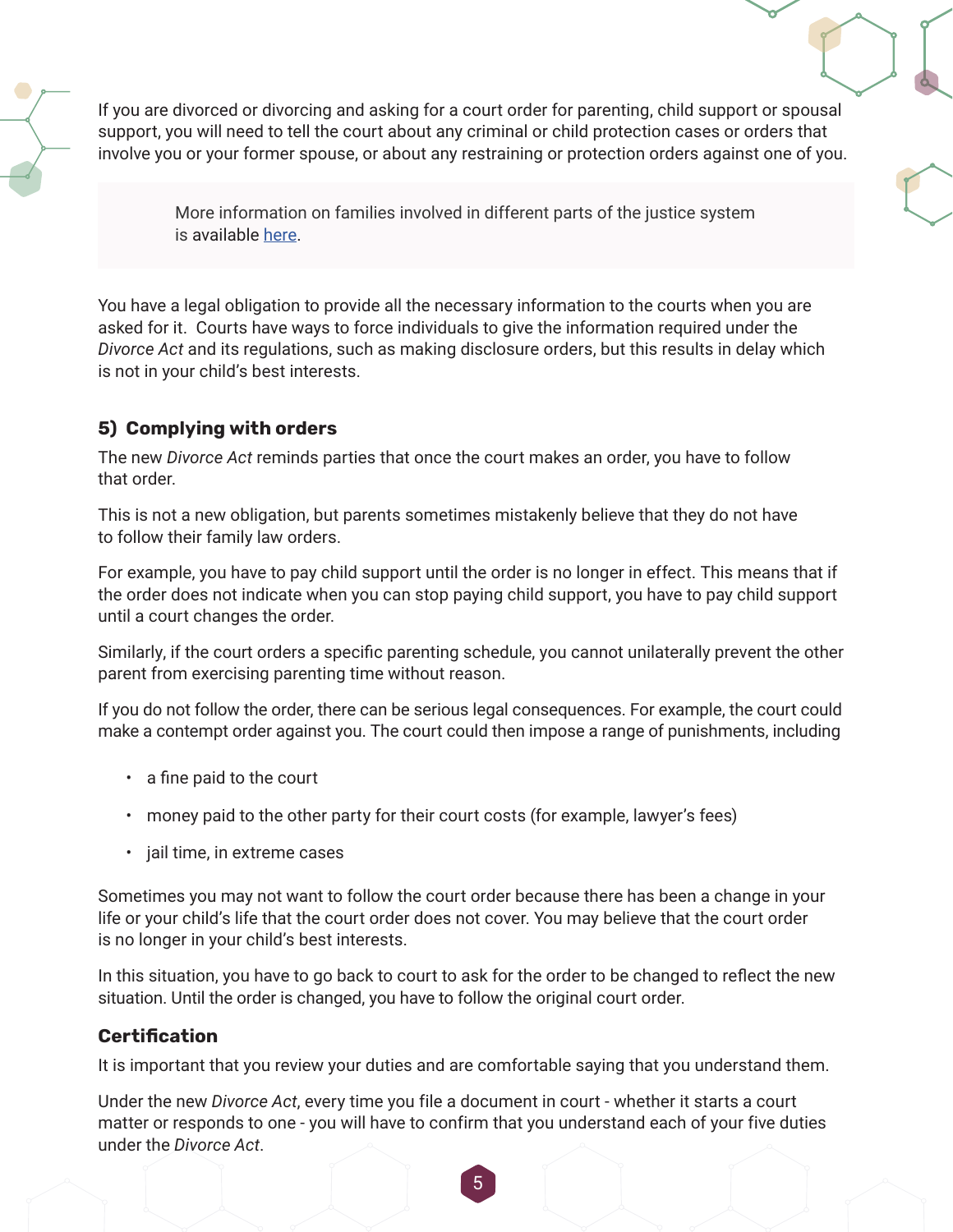If you are divorced or divorcing and asking for a court order for parenting, child support or spousal support, you will need to tell the court about any criminal or child protection cases or orders that involve you or your former spouse, or about any restraining or protection orders against one of you.

> More information on families involved in different parts of the justice system is available [here.](https://www.justice.gc.ca/eng/fl-df/fsdfv-fidvf.html)

You have a legal obligation to provide all the necessary information to the courts when you are asked for it. Courts have ways to force individuals to give the information required under the *Divorce Act* and its regulations, such as making disclosure orders, but this results in delay which is not in your child's best interests.

# **5) Complying with orders**

The new *Divorce Act* reminds parties that once the court makes an order, you have to follow that order.

This is not a new obligation, but parents sometimes mistakenly believe that they do not have to follow their family law orders.

For example, you have to pay child support until the order is no longer in effect. This means that if the order does not indicate when you can stop paying child support, you have to pay child support until a court changes the order.

Similarly, if the court orders a specific parenting schedule, you cannot unilaterally prevent the other parent from exercising parenting time without reason.

If you do not follow the order, there can be serious legal consequences. For example, the court could make a contempt order against you. The court could then impose a range of punishments, including

- a fine paid to the court
- money paid to the other party for their court costs (for example, lawyer's fees)
- jail time, in extreme cases

Sometimes you may not want to follow the court order because there has been a change in your life or your child's life that the court order does not cover. You may believe that the court order is no longer in your child's best interests.

In this situation, you have to go back to court to ask for the order to be changed to reflect the new situation. Until the order is changed, you have to follow the original court order.

# **Certification**

It is important that you review your duties and are comfortable saying that you understand them.

Under the new *Divorce Act*, every time you file a document in court - whether it starts a court matter or responds to one - you will have to confirm that you understand each of your five duties under the *Divorce Act*.